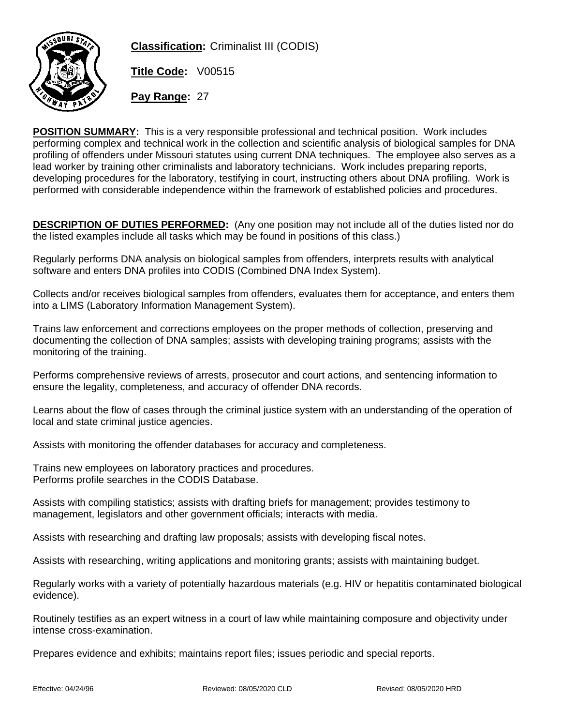

**Classification:** Criminalist III (CODIS)

**Title Code:** V00515

**Pay Range:** 27

**POSITION SUMMARY:** This is a very responsible professional and technical position. Work includes performing complex and technical work in the collection and scientific analysis of biological samples for DNA profiling of offenders under Missouri statutes using current DNA techniques. The employee also serves as a lead worker by training other criminalists and laboratory technicians. Work includes preparing reports, developing procedures for the laboratory, testifying in court, instructing others about DNA profiling. Work is performed with considerable independence within the framework of established policies and procedures.

**DESCRIPTION OF DUTIES PERFORMED:** (Any one position may not include all of the duties listed nor do the listed examples include all tasks which may be found in positions of this class.)

Regularly performs DNA analysis on biological samples from offenders, interprets results with analytical software and enters DNA profiles into CODIS (Combined DNA Index System).

Collects and/or receives biological samples from offenders, evaluates them for acceptance, and enters them into a LIMS (Laboratory Information Management System).

Trains law enforcement and corrections employees on the proper methods of collection, preserving and documenting the collection of DNA samples; assists with developing training programs; assists with the monitoring of the training.

Performs comprehensive reviews of arrests, prosecutor and court actions, and sentencing information to ensure the legality, completeness, and accuracy of offender DNA records.

Learns about the flow of cases through the criminal justice system with an understanding of the operation of local and state criminal justice agencies.

Assists with monitoring the offender databases for accuracy and completeness.

Trains new employees on laboratory practices and procedures. Performs profile searches in the CODIS Database.

Assists with compiling statistics; assists with drafting briefs for management; provides testimony to management, legislators and other government officials; interacts with media.

Assists with researching and drafting law proposals; assists with developing fiscal notes.

Assists with researching, writing applications and monitoring grants; assists with maintaining budget.

Regularly works with a variety of potentially hazardous materials (e.g. HIV or hepatitis contaminated biological evidence).

Routinely testifies as an expert witness in a court of law while maintaining composure and objectivity under intense cross-examination.

Prepares evidence and exhibits; maintains report files; issues periodic and special reports.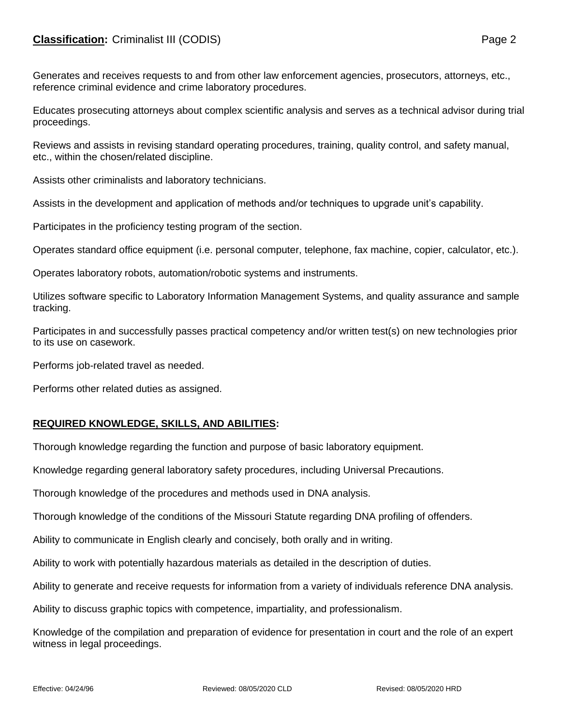## **Classification:** Criminalist III (CODIS) **Page 2**

Generates and receives requests to and from other law enforcement agencies, prosecutors, attorneys, etc., reference criminal evidence and crime laboratory procedures.

Educates prosecuting attorneys about complex scientific analysis and serves as a technical advisor during trial proceedings.

Reviews and assists in revising standard operating procedures, training, quality control, and safety manual, etc., within the chosen/related discipline.

Assists other criminalists and laboratory technicians.

Assists in the development and application of methods and/or techniques to upgrade unit's capability.

Participates in the proficiency testing program of the section.

Operates standard office equipment (i.e. personal computer, telephone, fax machine, copier, calculator, etc.).

Operates laboratory robots, automation/robotic systems and instruments.

Utilizes software specific to Laboratory Information Management Systems, and quality assurance and sample tracking.

Participates in and successfully passes practical competency and/or written test(s) on new technologies prior to its use on casework.

Performs job-related travel as needed.

Performs other related duties as assigned.

## **REQUIRED KNOWLEDGE, SKILLS, AND ABILITIES:**

Thorough knowledge regarding the function and purpose of basic laboratory equipment.

Knowledge regarding general laboratory safety procedures, including Universal Precautions.

Thorough knowledge of the procedures and methods used in DNA analysis.

Thorough knowledge of the conditions of the Missouri Statute regarding DNA profiling of offenders.

Ability to communicate in English clearly and concisely, both orally and in writing.

Ability to work with potentially hazardous materials as detailed in the description of duties.

Ability to generate and receive requests for information from a variety of individuals reference DNA analysis.

Ability to discuss graphic topics with competence, impartiality, and professionalism.

Knowledge of the compilation and preparation of evidence for presentation in court and the role of an expert witness in legal proceedings.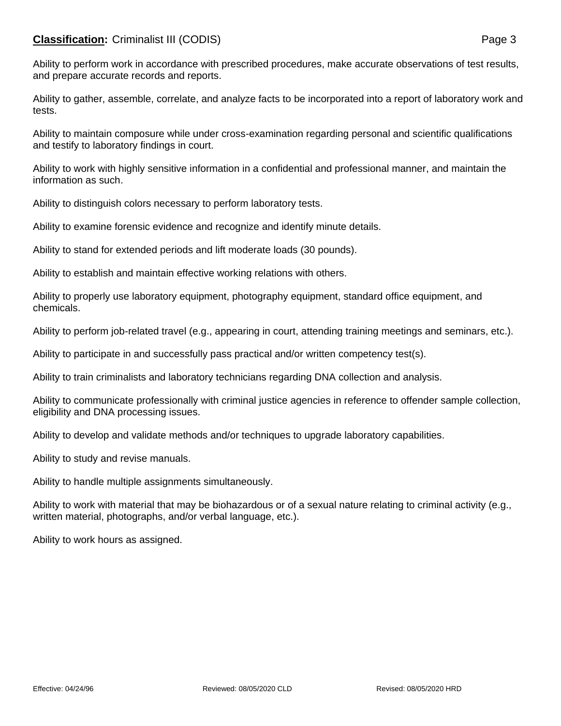## **Classification:** Criminalist III (CODIS) **Page 3**

Ability to perform work in accordance with prescribed procedures, make accurate observations of test results, and prepare accurate records and reports.

Ability to gather, assemble, correlate, and analyze facts to be incorporated into a report of laboratory work and tests.

Ability to maintain composure while under cross-examination regarding personal and scientific qualifications and testify to laboratory findings in court.

Ability to work with highly sensitive information in a confidential and professional manner, and maintain the information as such.

Ability to distinguish colors necessary to perform laboratory tests.

Ability to examine forensic evidence and recognize and identify minute details.

Ability to stand for extended periods and lift moderate loads (30 pounds).

Ability to establish and maintain effective working relations with others.

Ability to properly use laboratory equipment, photography equipment, standard office equipment, and chemicals.

Ability to perform job-related travel (e.g., appearing in court, attending training meetings and seminars, etc.).

Ability to participate in and successfully pass practical and/or written competency test(s).

Ability to train criminalists and laboratory technicians regarding DNA collection and analysis.

Ability to communicate professionally with criminal justice agencies in reference to offender sample collection, eligibility and DNA processing issues.

Ability to develop and validate methods and/or techniques to upgrade laboratory capabilities.

Ability to study and revise manuals.

Ability to handle multiple assignments simultaneously.

Ability to work with material that may be biohazardous or of a sexual nature relating to criminal activity (e.g., written material, photographs, and/or verbal language, etc.).

Ability to work hours as assigned.